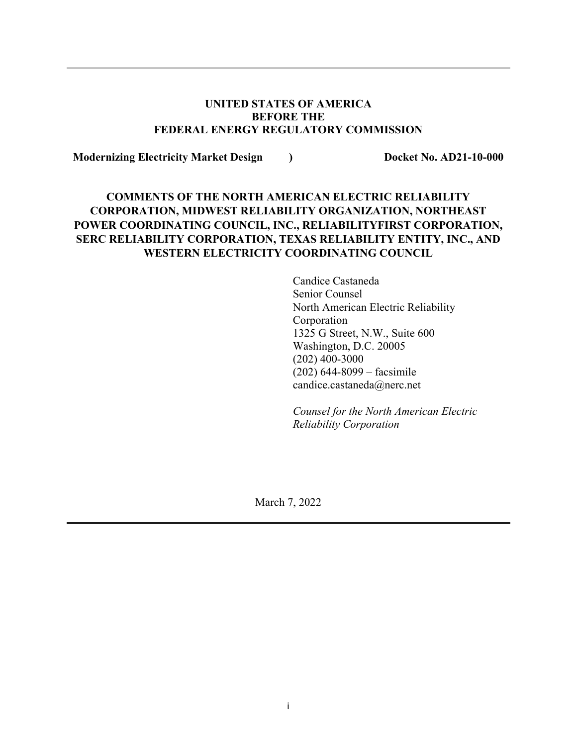#### **UNITED STATES OF AMERICA BEFORE THE FEDERAL ENERGY REGULATORY COMMISSION**

**Modernizing Electricity Market Design ) Docket No. AD21-10-000**

# **COMMENTS OF THE NORTH AMERICAN ELECTRIC RELIABILITY CORPORATION, MIDWEST RELIABILITY ORGANIZATION, NORTHEAST POWER COORDINATING COUNCIL, INC., RELIABILITYFIRST CORPORATION, SERC RELIABILITY CORPORATION, TEXAS RELIABILITY ENTITY, INC., AND WESTERN ELECTRICITY COORDINATING COUNCIL**

Candice Castaneda Senior Counsel North American Electric Reliability Corporation 1325 G Street, N.W., Suite 600 Washington, D.C. 20005 (202) 400-3000 (202) 644-8099 – facsimile candice.castaneda@nerc.net

*Counsel for the North American Electric Reliability Corporation*

March 7, 2022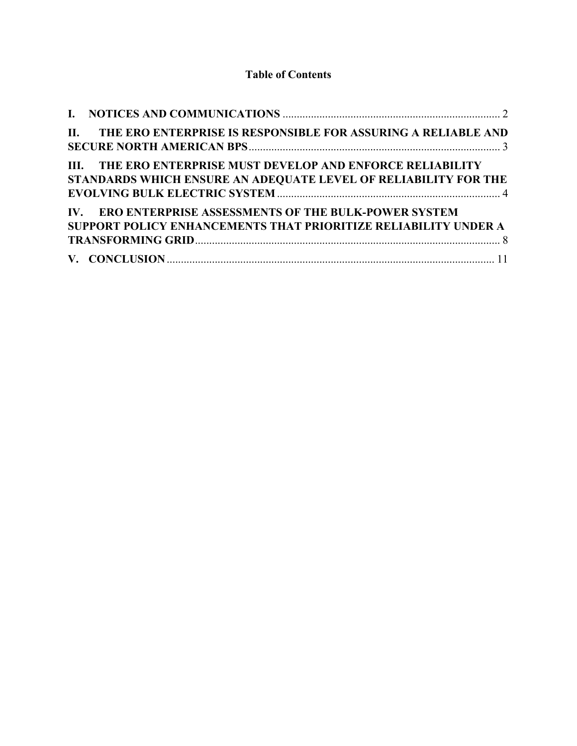# **Table of Contents**

| II. THE ERO ENTERPRISE IS RESPONSIBLE FOR ASSURING A RELIABLE AND                                                               |  |
|---------------------------------------------------------------------------------------------------------------------------------|--|
| III. THE ERO ENTERPRISE MUST DEVELOP AND ENFORCE RELIABILITY<br>STANDARDS WHICH ENSURE AN ADEQUATE LEVEL OF RELIABILITY FOR THE |  |
| IV. ERO ENTERPRISE ASSESSMENTS OF THE BULK-POWER SYSTEM<br>SUPPORT POLICY ENHANCEMENTS THAT PRIORITIZE RELIABILITY UNDER A      |  |
|                                                                                                                                 |  |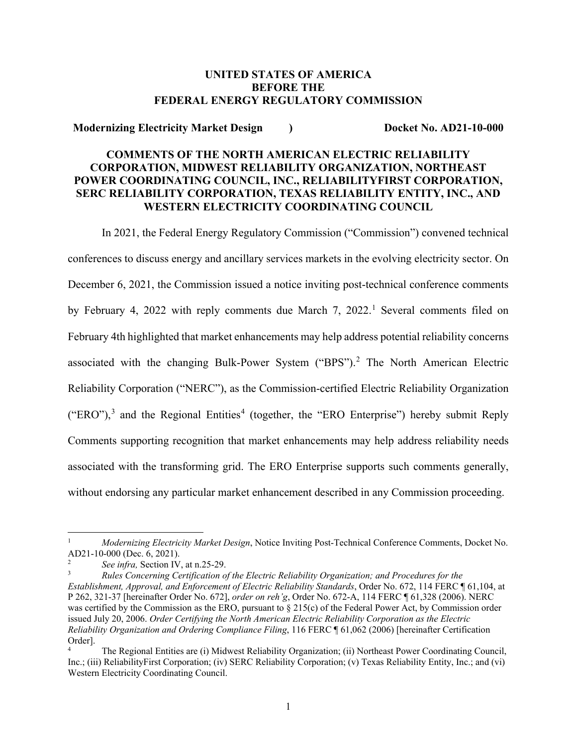#### **UNITED STATES OF AMERICA BEFORE THE FEDERAL ENERGY REGULATORY COMMISSION**

**Modernizing Electricity Market Design ) Docket No. AD21-10-000**

## **COMMENTS OF THE NORTH AMERICAN ELECTRIC RELIABILITY CORPORATION, MIDWEST RELIABILITY ORGANIZATION, NORTHEAST POWER COORDINATING COUNCIL, INC., RELIABILITYFIRST CORPORATION, SERC RELIABILITY CORPORATION, TEXAS RELIABILITY ENTITY, INC., AND WESTERN ELECTRICITY COORDINATING COUNCIL**

In 2021, the Federal Energy Regulatory Commission ("Commission") convened technical conferences to discuss energy and ancillary services markets in the evolving electricity sector. On December 6, 2021, the Commission issued a notice inviting post-technical conference comments by February 4, 2022 with reply comments due March 7, 2022.<sup>[1](#page-2-0)</sup> Several comments filed on February 4th highlighted that market enhancements may help address potential reliability concerns associated with the changing Bulk-Power System ("BPS").[2](#page-2-1) The North American Electric Reliability Corporation ("NERC"), as the Commission-certified Electric Reliability Organization  $("ERO"),$ <sup>[3](#page-2-2)</sup> and the Regional Entities<sup>[4](#page-2-3)</sup> (together, the "ERO Enterprise") hereby submit Reply Comments supporting recognition that market enhancements may help address reliability needs associated with the transforming grid. The ERO Enterprise supports such comments generally, without endorsing any particular market enhancement described in any Commission proceeding.

<span id="page-2-0"></span> $\overline{\phantom{a}}$ <sup>1</sup> *Modernizing Electricity Market Design*, Notice Inviting Post-Technical Conference Comments, Docket No.<br>AD21-10-000 (Dec. 6, 2021).

<span id="page-2-1"></span>See infra, Section IV, at n.25-29.

<span id="page-2-2"></span><sup>3</sup> *Rules Concerning Certification of the Electric Reliability Organization; and Procedures for the Establishment, Approval, and Enforcement of Electric Reliability Standards*, Order No. 672, 114 FERC ¶ 61,104, at P 262, 321-37 [hereinafter Order No. 672], *order on reh'g*, Order No. 672-A, 114 FERC ¶ 61,328 (2006). NERC was certified by the Commission as the ERO, pursuant to § 215(c) of the Federal Power Act, by Commission order issued July 20, 2006. *Order Certifying the North American Electric Reliability Corporation as the Electric Reliability Organization and Ordering Compliance Filing*, 116 FERC ¶ 61,062 (2006) [hereinafter Certification Order].

<span id="page-2-3"></span><sup>4</sup> The Regional Entities are (i) Midwest Reliability Organization; (ii) Northeast Power Coordinating Council, Inc.; (iii) ReliabilityFirst Corporation; (iv) SERC Reliability Corporation; (v) Texas Reliability Entity, Inc.; and (vi) Western Electricity Coordinating Council.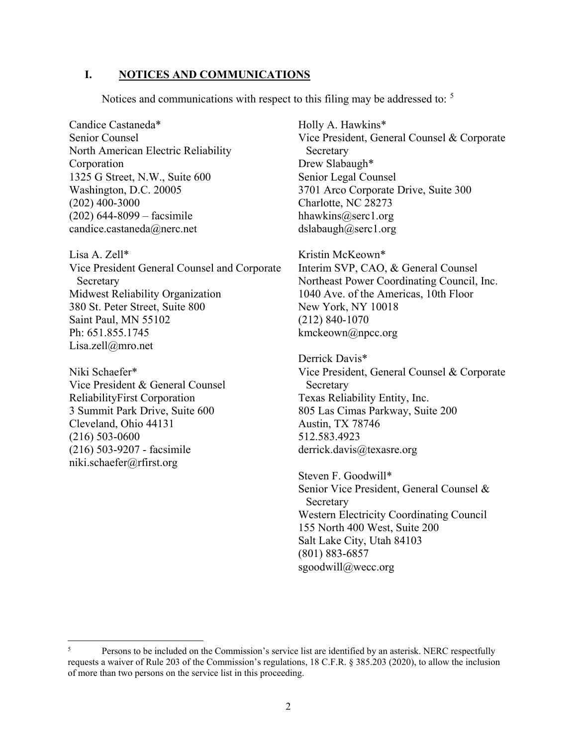#### <span id="page-3-0"></span>**I. NOTICES AND COMMUNICATIONS**

Notices and communications with respect to this filing may be addressed to: <sup>[5](#page-3-1)</sup>

Candice Castaneda\* Senior Counsel North American Electric Reliability Corporation 1325 G Street, N.W., Suite 600 Washington, D.C. 20005 (202) 400-3000 (202) 644-8099 – facsimile candice.castaneda@nerc.net

Lisa A. Zell\* Vice President General Counsel and Corporate Secretary Midwest Reliability Organization 380 St. Peter Street, Suite 800 Saint Paul, MN 55102 Ph: 651.855.1745 Lisa.zell@mro.net

Niki Schaefer\* Vice President & General Counsel ReliabilityFirst Corporation 3 Summit Park Drive, Suite 600 Cleveland, Ohio 44131 (216) 503-0600 (216) 503-9207 - facsimile niki.schaefer@rfirst.org

 $\overline{a}$ 

Holly A. Hawkins\* Vice President, General Counsel & Corporate Secretary Drew Slabaugh\* Senior Legal Counsel 3701 Arco Corporate Drive, Suite 300 Charlotte, NC 28273 hhawkins@serc1.org dslabaugh@serc1.org

Kristin McKeown\* Interim SVP, CAO, & General Counsel Northeast Power Coordinating Council, Inc. 1040 Ave. of the Americas, 10th Floor New York, NY 10018 (212) 840-1070 kmckeown@npcc.org

Derrick Davis\* Vice President, General Counsel & Corporate Secretary Texas Reliability Entity, Inc. 805 Las Cimas Parkway, Suite 200 Austin, TX 78746 512.583.4923 derrick.davis@texasre.org

Steven F. Goodwill\* Senior Vice President, General Counsel & Secretary Western Electricity Coordinating Council 155 North 400 West, Suite 200 Salt Lake City, Utah 84103 (801) 883-6857 sgoodwill@wecc.org

<span id="page-3-1"></span><sup>&</sup>lt;sup>5</sup> Persons to be included on the Commission's service list are identified by an asterisk. NERC respectfully requests a waiver of Rule 203 of the Commission's regulations, 18 C.F.R. § 385.203 (2020), to allow the inclusion of more than two persons on the service list in this proceeding.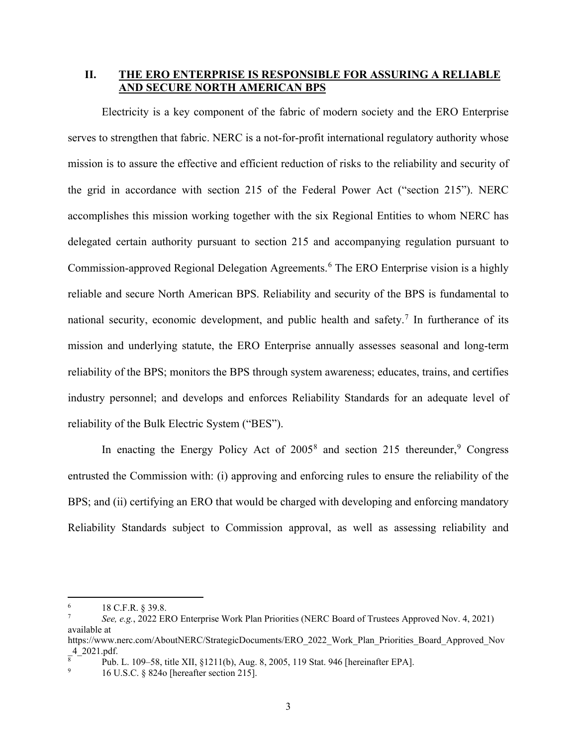#### <span id="page-4-0"></span>**II. THE ERO ENTERPRISE IS RESPONSIBLE FOR ASSURING A RELIABLE AND SECURE NORTH AMERICAN BPS**

Electricity is a key component of the fabric of modern society and the ERO Enterprise serves to strengthen that fabric. NERC is a not-for-profit international regulatory authority whose mission is to assure the effective and efficient reduction of risks to the reliability and security of the grid in accordance with section 215 of the Federal Power Act ("section 215"). NERC accomplishes this mission working together with the six Regional Entities to whom NERC has delegated certain authority pursuant to section 215 and accompanying regulation pursuant to Commission-approved Regional Delegation Agreements.<sup>[6](#page-4-1)</sup> The ERO Enterprise vision is a highly reliable and secure North American BPS. Reliability and security of the BPS is fundamental to national security, economic development, and public health and safety.<sup>[7](#page-4-2)</sup> In furtherance of its mission and underlying statute, the ERO Enterprise annually assesses seasonal and long-term reliability of the BPS; monitors the BPS through system awareness; educates, trains, and certifies industry personnel; and develops and enforces Reliability Standards for an adequate level of reliability of the Bulk Electric System ("BES").

In enacting the Energy Policy Act of  $2005<sup>8</sup>$  $2005<sup>8</sup>$  $2005<sup>8</sup>$  and section 215 thereunder,<sup>[9](#page-4-4)</sup> Congress entrusted the Commission with: (i) approving and enforcing rules to ensure the reliability of the BPS; and (ii) certifying an ERO that would be charged with developing and enforcing mandatory Reliability Standards subject to Commission approval, as well as assessing reliability and

<span id="page-4-1"></span> $6\phantom{a}$ <sup>6</sup> 18 C.F.R. § 39.8.

<span id="page-4-2"></span><sup>7</sup> *See, e.g.*, 2022 ERO Enterprise Work Plan Priorities (NERC Board of Trustees Approved Nov. 4, 2021) available at

https://www.nerc.com/AboutNERC/StrategicDocuments/ERO\_2022\_Work\_Plan\_Priorities\_Board\_Approved\_Nov  $4$ <sup>-2021.pdf.</sup>

<span id="page-4-3"></span> $\frac{8}{8}$  Pub. L. 109–58, title XII, §1211(b), Aug. 8, 2005, 119 Stat. 946 [hereinafter EPA].

<span id="page-4-4"></span><sup>9</sup> 16 U.S.C. § 824o [hereafter section 215].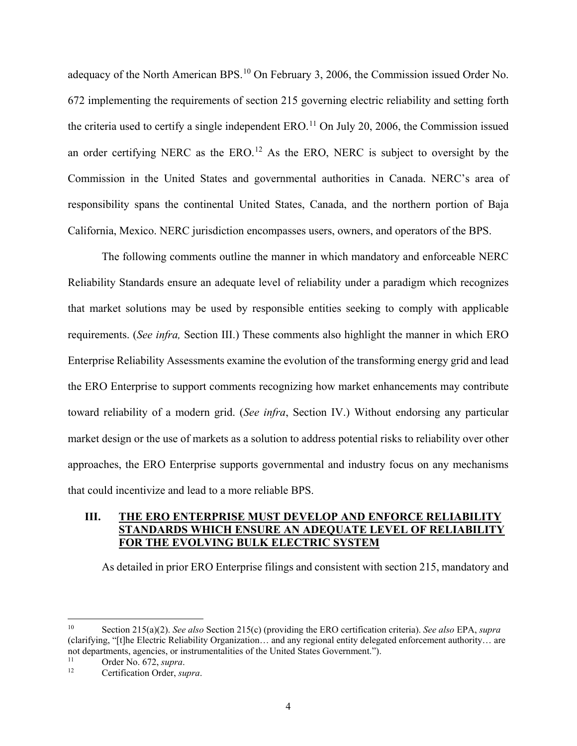adequacy of the North American BPS.<sup>[10](#page-5-1)</sup> On February 3, 2006, the Commission issued Order No. 672 implementing the requirements of section 215 governing electric reliability and setting forth the criteria used to certify a single independent ERO.<sup>[11](#page-5-2)</sup> On July 20, 2006, the Commission issued an order certifying NERC as the ERO.<sup>[12](#page-5-3)</sup> As the ERO, NERC is subject to oversight by the Commission in the United States and governmental authorities in Canada. NERC's area of responsibility spans the continental United States, Canada, and the northern portion of Baja California, Mexico. NERC jurisdiction encompasses users, owners, and operators of the BPS.

The following comments outline the manner in which mandatory and enforceable NERC Reliability Standards ensure an adequate level of reliability under a paradigm which recognizes that market solutions may be used by responsible entities seeking to comply with applicable requirements. (*See infra,* Section III.) These comments also highlight the manner in which ERO Enterprise Reliability Assessments examine the evolution of the transforming energy grid and lead the ERO Enterprise to support comments recognizing how market enhancements may contribute toward reliability of a modern grid. (*See infra*, Section IV.) Without endorsing any particular market design or the use of markets as a solution to address potential risks to reliability over other approaches, the ERO Enterprise supports governmental and industry focus on any mechanisms that could incentivize and lead to a more reliable BPS.

## <span id="page-5-0"></span>**III. THE ERO ENTERPRISE MUST DEVELOP AND ENFORCE RELIABILITY STANDARDS WHICH ENSURE AN ADEQUATE LEVEL OF RELIABILITY FOR THE EVOLVING BULK ELECTRIC SYSTEM**

As detailed in prior ERO Enterprise filings and consistent with section 215, mandatory and

<span id="page-5-1"></span><sup>10</sup> Section 215(a)(2). *See also* Section 215(c) (providing the ERO certification criteria). *See also* EPA, *supra* (clarifying, "[t]he Electric Reliability Organization… and any regional entity delegated enforcement authority… are not departments, agencies, or instrumentalities of the United States Government.").

<span id="page-5-3"></span><span id="page-5-2"></span><sup>11</sup> Order No. 672, *supra*.

Certification Order, supra.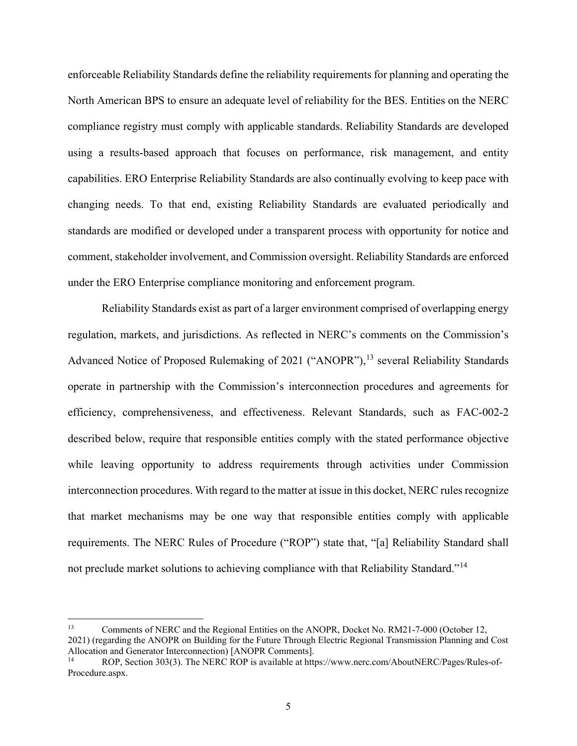enforceable Reliability Standards define the reliability requirements for planning and operating the North American BPS to ensure an adequate level of reliability for the BES. Entities on the NERC compliance registry must comply with applicable standards. Reliability Standards are developed using a results-based approach that focuses on performance, risk management, and entity capabilities. ERO Enterprise Reliability Standards are also continually evolving to keep pace with changing needs. To that end, existing Reliability Standards are evaluated periodically and standards are modified or developed under a transparent process with opportunity for notice and comment, stakeholder involvement, and Commission oversight. Reliability Standards are enforced under the ERO Enterprise compliance monitoring and enforcement program.

Reliability Standards exist as part of a larger environment comprised of overlapping energy regulation, markets, and jurisdictions. As reflected in NERC's comments on the Commission's Advanced Notice of Proposed Rulemaking of 2021 ("ANOPR"),<sup>[13](#page-6-0)</sup> several Reliability Standards operate in partnership with the Commission's interconnection procedures and agreements for efficiency, comprehensiveness, and effectiveness. Relevant Standards, such as FAC-002-2 described below, require that responsible entities comply with the stated performance objective while leaving opportunity to address requirements through activities under Commission interconnection procedures. With regard to the matter at issue in this docket, NERC rules recognize that market mechanisms may be one way that responsible entities comply with applicable requirements. The NERC Rules of Procedure ("ROP") state that, "[a] Reliability Standard shall not preclude market solutions to achieving compliance with that Reliability Standard."<sup>[14](#page-6-1)</sup>

<span id="page-6-0"></span><sup>&</sup>lt;sup>13</sup> Comments of NERC and the Regional Entities on the ANOPR, Docket No. RM21-7-000 (October 12, 2021) (regarding the ANOPR on Building for the Future Through Electric Regional Transmission Planning and Cost Allocation and Generator Interconnection) [ANOPR Comments].<br><sup>14</sup> POP Section 303(3) The NEPC POP is available at http://

<span id="page-6-1"></span><sup>14</sup> ROP, Section 303(3). The NERC ROP is available at https://www.nerc.com/AboutNERC/Pages/Rules-of-Procedure.aspx.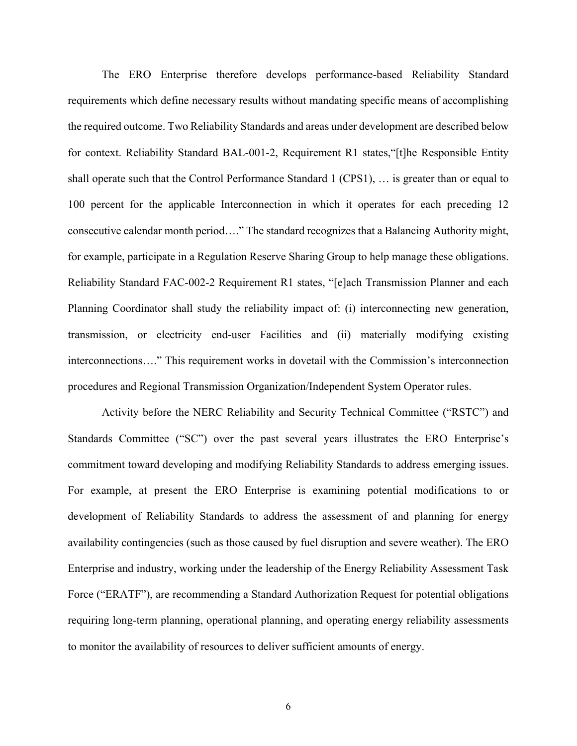The ERO Enterprise therefore develops performance-based Reliability Standard requirements which define necessary results without mandating specific means of accomplishing the required outcome. Two Reliability Standards and areas under development are described below for context. Reliability Standard BAL-001-2, Requirement R1 states,"[t]he Responsible Entity shall operate such that the Control Performance Standard 1 (CPS1), … is greater than or equal to 100 percent for the applicable Interconnection in which it operates for each preceding 12 consecutive calendar month period…." The standard recognizes that a Balancing Authority might, for example, participate in a Regulation Reserve Sharing Group to help manage these obligations. Reliability Standard FAC-002-2 Requirement R1 states, "[e]ach Transmission Planner and each Planning Coordinator shall study the reliability impact of: (i) interconnecting new generation, transmission, or electricity end-user Facilities and (ii) materially modifying existing interconnections…." This requirement works in dovetail with the Commission's interconnection procedures and Regional Transmission Organization/Independent System Operator rules.

Activity before the NERC Reliability and Security Technical Committee ("RSTC") and Standards Committee ("SC") over the past several years illustrates the ERO Enterprise's commitment toward developing and modifying Reliability Standards to address emerging issues. For example, at present the ERO Enterprise is examining potential modifications to or development of Reliability Standards to address the assessment of and planning for energy availability contingencies (such as those caused by fuel disruption and severe weather). The ERO Enterprise and industry, working under the leadership of the Energy Reliability Assessment Task Force ("ERATF"), are recommending a Standard Authorization Request for potential obligations requiring long-term planning, operational planning, and operating energy reliability assessments to monitor the availability of resources to deliver sufficient amounts of energy.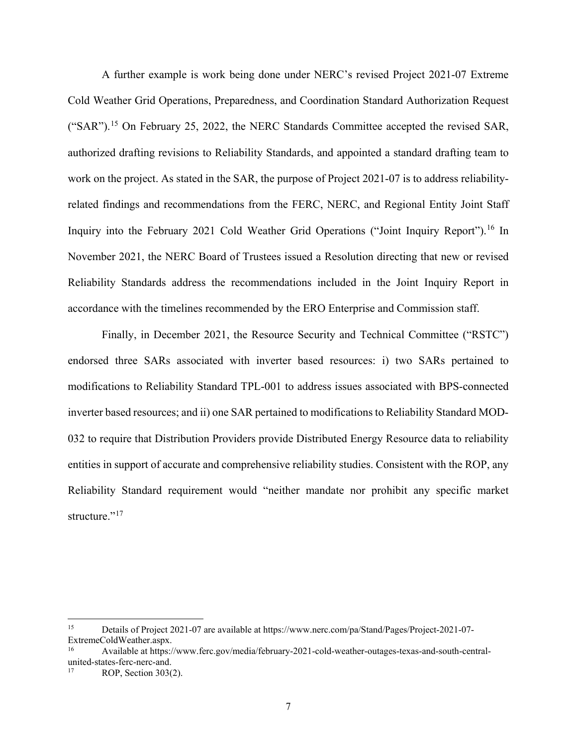A further example is work being done under NERC's revised Project 2021-07 Extreme Cold Weather Grid Operations, Preparedness, and Coordination Standard Authorization Request ("SAR").[15](#page-8-0) On February 25, 2022, the NERC Standards Committee accepted the revised SAR, authorized drafting revisions to Reliability Standards, and appointed a standard drafting team to work on the project. As stated in the SAR, the purpose of Project 2021-07 is to address reliabilityrelated findings and recommendations from the FERC, NERC, and Regional Entity Joint Staff Inquiry into the February 2021 Cold Weather Grid Operations ("Joint Inquiry Report").<sup>[16](#page-8-1)</sup> In November 2021, the NERC Board of Trustees issued a Resolution directing that new or revised Reliability Standards address the recommendations included in the Joint Inquiry Report in accordance with the timelines recommended by the ERO Enterprise and Commission staff.

Finally, in December 2021, the Resource Security and Technical Committee ("RSTC") endorsed three SARs associated with inverter based resources: i) two SARs pertained to modifications to Reliability Standard TPL-001 to address issues associated with BPS-connected inverter based resources; and ii) one SAR pertained to modifications to Reliability Standard MOD-032 to require that Distribution Providers provide Distributed Energy Resource data to reliability entities in support of accurate and comprehensive reliability studies. Consistent with the ROP, any Reliability Standard requirement would "neither mandate nor prohibit any specific market structure."<sup>[17](#page-8-2)</sup>

<span id="page-8-0"></span><sup>&</sup>lt;sup>15</sup> Details of Project 2021-07 are available at https://www.nerc.com/pa/Stand/Pages/Project-2021-07-ExtremeColdWeather.aspx.

<span id="page-8-1"></span><sup>16</sup> Available at https://www.ferc.gov/media/february-2021-cold-weather-outages-texas-and-south-centralunited-states-ferc-nerc-and.

<span id="page-8-2"></span>ROP, Section 303(2).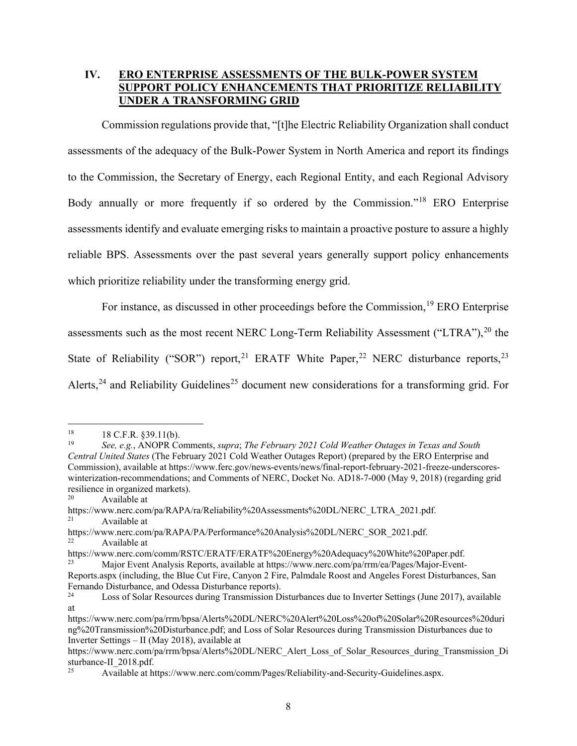## <span id="page-9-0"></span>**IV. ERO ENTERPRISE ASSESSMENTS OF THE BULK-POWER SYSTEM SUPPORT POLICY ENHANCEMENTS THAT PRIORITIZE RELIABILITY UNDER A TRANSFORMING GRID**

Commission regulations provide that, "[t]he Electric Reliability Organization shall conduct assessments of the adequacy of the Bulk‐Power System in North America and report its findings to the Commission, the Secretary of Energy, each Regional Entity, and each Regional Advisory Body annually or more frequently if so ordered by the Commission."<sup>[18](#page-9-1)</sup> ERO Enterprise assessments identify and evaluate emerging risks to maintain a proactive posture to assure a highly reliable BPS. Assessments over the past several years generally support policy enhancements which prioritize reliability under the transforming energy grid.

For instance, as discussed in other proceedings before the Commission,<sup>[19](#page-9-2)</sup> ERO Enterprise assessments such as the most recent NERC Long-Term Reliability Assessment ("LTRA"),  $^{20}$  $^{20}$  $^{20}$  the State of Reliability ("SOR") report, <sup>[21](#page-9-4)</sup> ERATF White Paper, <sup>[22](#page-9-5)</sup> NERC disturbance reports, <sup>[23](#page-9-6)</sup> Alerts,<sup>[24](#page-9-7)</sup> and Reliability Guidelines<sup>[25](#page-9-8)</sup> document new considerations for a transforming grid. For

<span id="page-9-1"></span><sup>&</sup>lt;sup>18</sup> 18 C.F.R.  $$39.11(b)$ .

<span id="page-9-2"></span><sup>19</sup> *See, e.g.*, ANOPR Comments, *supra*; *The February 2021 Cold Weather Outages in Texas and South Central United States* (The February 2021 Cold Weather Outages Report) (prepared by the ERO Enterprise and Commission), available at https://www.ferc.gov/news-events/news/final-report-february-2021-freeze-underscoreswinterization-recommendations; and Comments of NERC, Docket No. AD18-7-000 (May 9, 2018) (regarding grid resilience in organized markets).

Available at

<span id="page-9-4"></span><span id="page-9-3"></span>https://www.nerc.com/pa/RAPA/ra/Reliability%20Assessments%20DL/NERC\_LTRA\_2021.pdf.<br>21 Available at Available at

<span id="page-9-5"></span>https://www.nerc.com/pa/RAPA/PA/Performance%20Analysis%20DL/NERC\_SOR\_2021.pdf. <sup>22</sup> Available at

https://www.nerc.com/comm/RSTC/ERATF/ERATF%20Energy%20Adequacy%20White%20Paper.pdf.

<span id="page-9-6"></span><sup>23</sup> Major Event Analysis Reports, available at https://www.nerc.com/pa/rrm/ea/Pages/Major-Event-Reports.aspx (including, the Blue Cut Fire, Canyon 2 Fire, Palmdale Roost and Angeles Forest Disturbances, San Fernando Disturbance, and Odessa Disturbance reports).

<span id="page-9-7"></span><sup>24</sup> Loss of Solar Resources during Transmission Disturbances due to Inverter Settings (June 2017), available at

https://www.nerc.com/pa/rrm/bpsa/Alerts%20DL/NERC%20Alert%20Loss%20of%20Solar%20Resources%20duri ng%20Transmission%20Disturbance.pdf; and Loss of Solar Resources during Transmission Disturbances due to Inverter Settings – II (May 2018), available at

https://www.nerc.com/pa/rrm/bpsa/Alerts%20DL/NERC\_Alert\_Loss\_of\_Solar\_Resources\_during\_Transmission\_Di sturbance-II\_2018.pdf.

<span id="page-9-8"></span>Available at https://www.nerc.com/comm/Pages/Reliability-and-Security-Guidelines.aspx.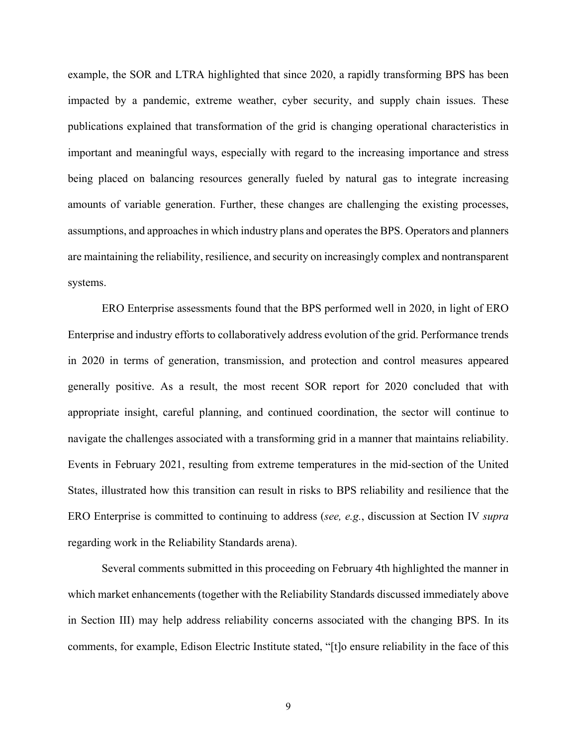example, the SOR and LTRA highlighted that since 2020, a rapidly transforming BPS has been impacted by a pandemic, extreme weather, cyber security, and supply chain issues. These publications explained that transformation of the grid is changing operational characteristics in important and meaningful ways, especially with regard to the increasing importance and stress being placed on balancing resources generally fueled by natural gas to integrate increasing amounts of variable generation. Further, these changes are challenging the existing processes, assumptions, and approaches in which industry plans and operates the BPS. Operators and planners are maintaining the reliability, resilience, and security on increasingly complex and nontransparent systems.

ERO Enterprise assessments found that the BPS performed well in 2020, in light of ERO Enterprise and industry efforts to collaboratively address evolution of the grid. Performance trends in 2020 in terms of generation, transmission, and protection and control measures appeared generally positive. As a result, the most recent SOR report for 2020 concluded that with appropriate insight, careful planning, and continued coordination, the sector will continue to navigate the challenges associated with a transforming grid in a manner that maintains reliability. Events in February 2021, resulting from extreme temperatures in the mid-section of the United States, illustrated how this transition can result in risks to BPS reliability and resilience that the ERO Enterprise is committed to continuing to address (*see, e.g.*, discussion at Section IV *supra* regarding work in the Reliability Standards arena).

Several comments submitted in this proceeding on February 4th highlighted the manner in which market enhancements (together with the Reliability Standards discussed immediately above in Section III) may help address reliability concerns associated with the changing BPS. In its comments, for example, Edison Electric Institute stated, "[t]o ensure reliability in the face of this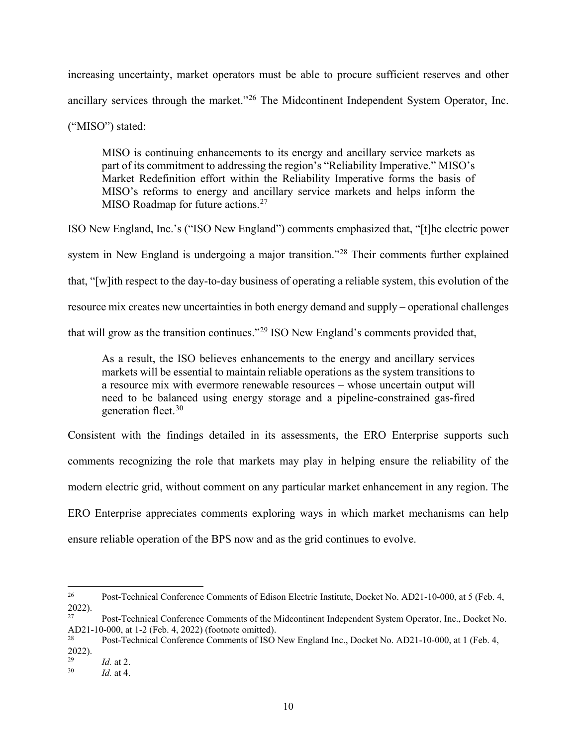increasing uncertainty, market operators must be able to procure sufficient reserves and other ancillary services through the market."<sup>[26](#page-11-0)</sup> The Midcontinent Independent System Operator, Inc. ("MISO") stated:

MISO is continuing enhancements to its energy and ancillary service markets as part of its commitment to addressing the region's "Reliability Imperative." MISO's Market Redefinition effort within the Reliability Imperative forms the basis of MISO's reforms to energy and ancillary service markets and helps inform the MISO Roadmap for future actions. $27$ 

ISO New England, Inc.'s ("ISO New England") comments emphasized that, "[t]he electric power system in New England is undergoing a major transition."<sup>[28](#page-11-2)</sup> Their comments further explained that, "[w]ith respect to the day-to-day business of operating a reliable system, this evolution of the resource mix creates new uncertainties in both energy demand and supply – operational challenges that will grow as the transition continues."[29](#page-11-3) ISO New England's comments provided that,

As a result, the ISO believes enhancements to the energy and ancillary services markets will be essential to maintain reliable operations as the system transitions to a resource mix with evermore renewable resources – whose uncertain output will need to be balanced using energy storage and a pipeline-constrained gas-fired generation fleet.<sup>[30](#page-11-4)</sup>

Consistent with the findings detailed in its assessments, the ERO Enterprise supports such comments recognizing the role that markets may play in helping ensure the reliability of the modern electric grid, without comment on any particular market enhancement in any region. The ERO Enterprise appreciates comments exploring ways in which market mechanisms can help ensure reliable operation of the BPS now and as the grid continues to evolve.

<span id="page-11-0"></span><sup>26</sup> <sup>26</sup> Post-Technical Conference Comments of Edison Electric Institute, Docket No. AD21-10-000, at 5 (Feb. 4, 2022).

<span id="page-11-1"></span><sup>27</sup> Post-Technical Conference Comments of the Midcontinent Independent System Operator, Inc., Docket No. AD21-10-000, at 1-2 (Feb. 4, 2022) (footnote omitted).<br><sup>28</sup> Post Technical Conference Comments of ISO

<span id="page-11-2"></span>Post-Technical Conference Comments of ISO New England Inc., Docket No. AD21-10-000, at 1 (Feb. 4,  $2022$ ).

<span id="page-11-4"></span><span id="page-11-3"></span> $\frac{29}{30}$  *Id.* at 2.

*Id.* at 4.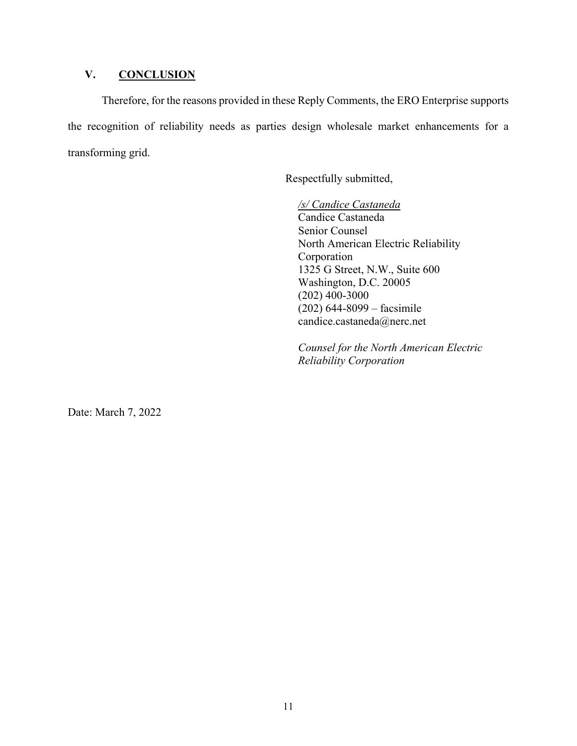## <span id="page-12-0"></span>**V. CONCLUSION**

Therefore, for the reasons provided in these Reply Comments, the ERO Enterprise supports the recognition of reliability needs as parties design wholesale market enhancements for a transforming grid.

Respectfully submitted,

*/s/ Candice Castaneda* Candice Castaneda Senior Counsel North American Electric Reliability Corporation 1325 G Street, N.W., Suite 600 Washington, D.C. 20005 (202) 400-3000 (202) 644-8099 – facsimile candice.castaneda@nerc.net

*Counsel for the North American Electric Reliability Corporation*

Date: March 7, 2022